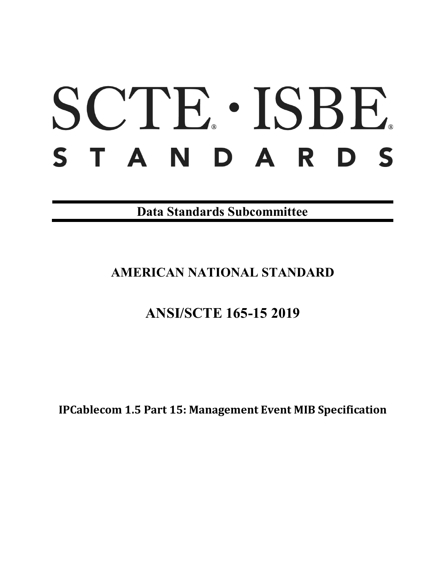# SCTE. ISBE. STANDARDS

**Data Standards Subcommittee**

# **AMERICAN NATIONAL STANDARD**

# **ANSI/SCTE 165-15 2019**

**IPCablecom 1.5 Part 15: Management Event MIB Specification**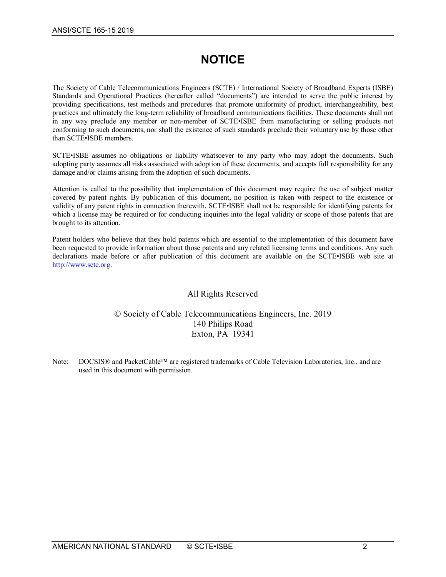## **NOTICE**

The Society of Cable Telecommunications Engineers (SCTE) / International Society of Broadband Experts (ISBE) Standards and Operational Practices (hereafter called "documents") are intended to serve the public interest by providing specifications, test methods and procedures that promote uniformity of product, interchangeability, best practices and ultimately the long-term reliability of broadband communications facilities. These documents shall not in any way preclude any member or non-member of SCTE•ISBE from manufacturing or selling products not conforming to such documents, nor shall the existence of such standards preclude their voluntary use by those other than SCTE•ISBE members.

SCTE•ISBE assumes no obligations or liability whatsoever to any party who may adopt the documents. Such adopting party assumes all risks associated with adoption of these documents, and accepts full responsibility for any damage and/or claims arising from the adoption of such documents.

Attention is called to the possibility that implementation of this document may require the use of subject matter covered by patent rights. By publication of this document, no position is taken with respect to the existence or validity of any patent rights in connection therewith. SCTE•ISBE shall not be responsible for identifying patents for which a license may be required or for conducting inquiries into the legal validity or scope of those patents that are brought to its attention.

Patent holders who believe that they hold patents which are essential to the implementation of this document have been requested to provide information about those patents and any related licensing terms and conditions. Any such declarations made before or after publication of this document are available on the SCTE•ISBE web site at [http://www.scte.org.](http://www.scte.org/)

#### All Rights Reserved

#### © Society of Cable Telecommunications Engineers, Inc. 2019 140 Philips Road Exton, PA 19341

Note: DOCSIS® and PacketCable™ are registered trademarks of Cable Television Laboratories, Inc., and are used in this document with permission.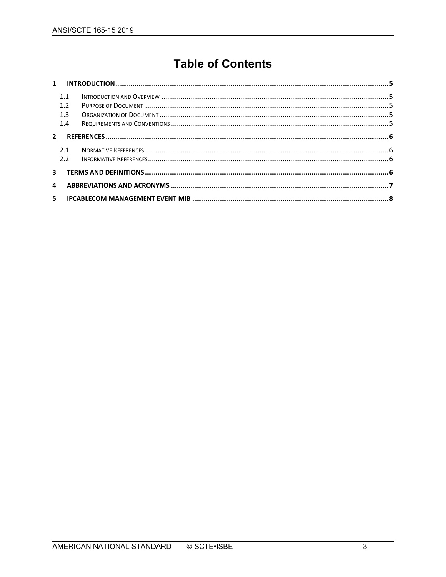# **Table of Contents**

| $\mathbf{1}$ |                |  |  |
|--------------|----------------|--|--|
|              | 1 <sub>1</sub> |  |  |
|              | 1.2<br>1.3     |  |  |
|              | 1.4            |  |  |
|              | $\mathcal{P}$  |  |  |
|              | 2.1            |  |  |
|              | 2.2            |  |  |
| $\mathbf{3}$ |                |  |  |
| 4            |                |  |  |
| 5            |                |  |  |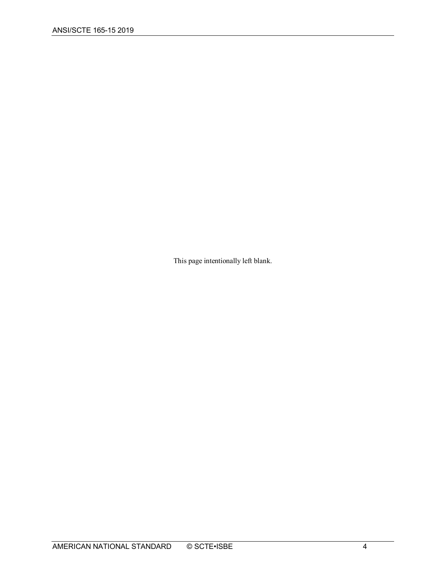This page intentionally left blank.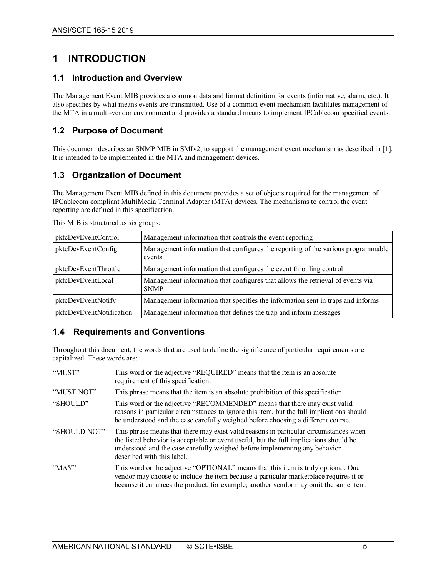## <span id="page-4-0"></span>**1 INTRODUCTION**

#### <span id="page-4-1"></span>**1.1 Introduction and Overview**

The Management Event MIB provides a common data and format definition for events (informative, alarm, etc.). It also specifies by what means events are transmitted. Use of a common event mechanism facilitates management of the MTA in a multi-vendor environment and provides a standard means to implement IPCablecom specified events.

#### <span id="page-4-2"></span>**1.2 Purpose of Document**

This document describes an SNMP MIB in SMIv2, to support the management event mechanism as described in [\[1\].](#page-5-4) It is intended to be implemented in the MTA and management devices.

#### <span id="page-4-3"></span>**1.3 Organization of Document**

The Management Event MIB defined in this document provides a set of objects required for the management of IPCablecom compliant MultiMedia Terminal Adapter (MTA) devices. The mechanisms to control the event reporting are defined in this specification.

| pktcDevEventControl      | Management information that controls the event reporting                                      |
|--------------------------|-----------------------------------------------------------------------------------------------|
| pktcDevEventConfig       | Management information that configures the reporting of the various programmable<br>events    |
| pktcDevEventThrottle     | Management information that configures the event throttling control                           |
| pktcDevEventLocal        | Management information that configures that allows the retrieval of events via<br><b>SNMP</b> |
| pktcDevEventNotify       | Management information that specifies the information sent in traps and informs               |
| pktcDevEventNotification | Management information that defines the trap and inform messages                              |

This MIB is structured as six groups:

#### <span id="page-4-4"></span>**1.4 Requirements and Conventions**

Throughout this document, the words that are used to define the significance of particular requirements are capitalized. These words are:

| "MUST"       | This word or the adjective "REQUIRED" means that the item is an absolute<br>requirement of this specification.                                                                                                                                                                              |
|--------------|---------------------------------------------------------------------------------------------------------------------------------------------------------------------------------------------------------------------------------------------------------------------------------------------|
| "MUST NOT"   | This phrase means that the item is an absolute prohibition of this specification.                                                                                                                                                                                                           |
| "SHOULD"     | This word or the adjective "RECOMMENDED" means that there may exist valid<br>reasons in particular circumstances to ignore this item, but the full implications should<br>be understood and the case carefully weighed before choosing a different course.                                  |
| "SHOULD NOT" | This phrase means that there may exist valid reasons in particular circumstances when<br>the listed behavior is acceptable or event useful, but the full implications should be<br>understood and the case carefully weighed before implementing any behavior<br>described with this label. |
| "MAY"        | This word or the adjective "OPTIONAL" means that this item is truly optional. One<br>vendor may choose to include the item because a particular marketplace requires it or<br>because it enhances the product, for example; another vendor may omit the same item.                          |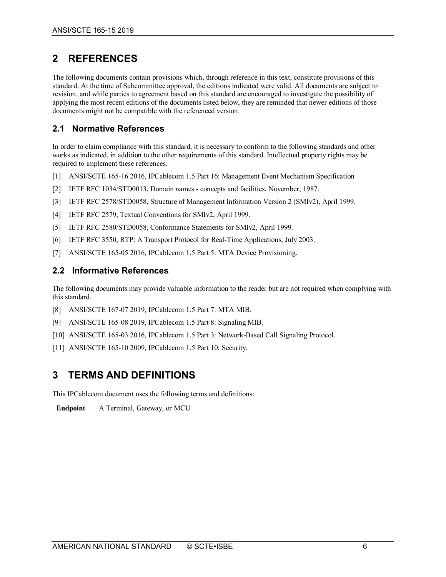## <span id="page-5-0"></span>**2 REFERENCES**

The following documents contain provisions which, through reference in this text, constitute provisions of this standard. At the time of Subcommittee approval, the editions indicated were valid. All documents are subject to revision, and while parties to agreement based on this standard are encouraged to investigate the possibility of applying the most recent editions of the documents listed below, they are reminded that newer editions of those documents might not be compatible with the referenced version.

#### <span id="page-5-1"></span>**2.1 Normative References**

In order to claim compliance with this standard, it is necessary to conform to the following standards and other works as indicated, in addition to the other requirements of this standard. Intellectual property rights may be required to implement these references.

- <span id="page-5-4"></span>[1] ANSI/SCTE 165-16 2016, IPCablecom 1.5 Part 16: Management Event Mechanism Specification
- [2] IETF RFC 1034/STD0013, Domain names concepts and facilities, November, 1987.
- [3] IETF RFC 2578/STD0058, Structure of Management Information Version 2 (SMIv2), April 1999.
- [4] IETF RFC 2579, Textual Conventions for SMIv2, April 1999.
- [5] IETF RFC 2580/STD0058, Conformance Statements for SMIv2, April 1999.
- [6] IETF RFC 3550, RTP: A Transport Protocol for Real-Time Applications, July 2003.
- [7] ANSI/SCTE 165-05 2016, IPCablecom 1.5 Part 5: MTA Device Provisioning.

#### <span id="page-5-2"></span>**2.2 Informative References**

The following documents may provide valuable information to the reader but are not required when complying with this standard.

- [8] ANSI/SCTE 167-07 2019, IPCablecom 1.5 Part 7: MTA MIB.
- [9] ANSI/SCTE 165-08 2019, IPCablecom 1.5 Part 8: Signaling MIB.
- [10] ANSI/SCTE 165-03 2016, IPCablecom 1.5 Part 3: Network-Based Call Signaling Protocol.
- [11] ANSI/SCTE 165-10 2009, IPCablecom 1.5 Part 10: Security.

### <span id="page-5-3"></span>**3 TERMS AND DEFINITIONS**

This IPCablecom document uses the following terms and definitions:

**Endpoint** A Terminal, Gateway, or MCU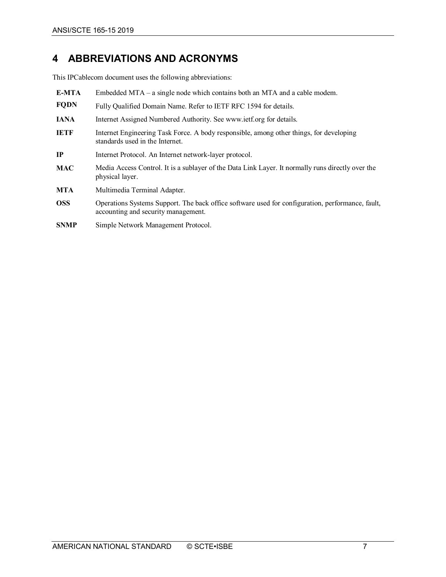## <span id="page-6-0"></span>**4 ABBREVIATIONS AND ACRONYMS**

This IPCablecom document uses the following abbreviations:

| <b>E-MTA</b> | Embedded MTA – a single node which contains both an MTA and a cable modem.                                                              |
|--------------|-----------------------------------------------------------------------------------------------------------------------------------------|
| <b>FQDN</b>  | Fully Qualified Domain Name. Refer to IETF RFC 1594 for details.                                                                        |
| <b>IANA</b>  | Internet Assigned Numbered Authority. See www.ietf.org for details.                                                                     |
| <b>IETF</b>  | Internet Engineering Task Force. A body responsible, among other things, for developing<br>standards used in the Internet.              |
| IP           | Internet Protocol. An Internet network-layer protocol.                                                                                  |
| <b>MAC</b>   | Media Access Control. It is a sublayer of the Data Link Layer. It normally runs directly over the<br>physical layer.                    |
| <b>MTA</b>   | Multimedia Terminal Adapter.                                                                                                            |
| <b>OSS</b>   | Operations Systems Support. The back office software used for configuration, performance, fault,<br>accounting and security management. |
| <b>SNMP</b>  | Simple Network Management Protocol.                                                                                                     |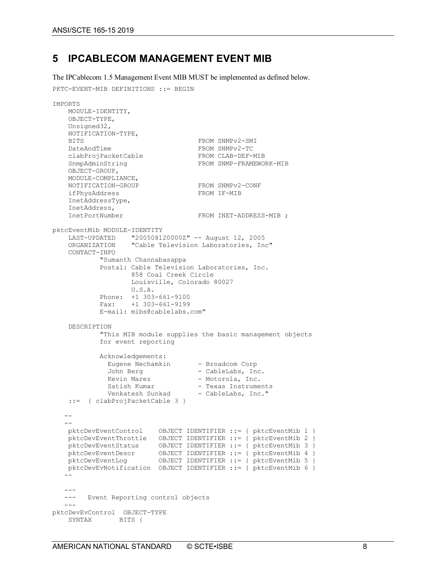#### <span id="page-7-0"></span>**5 IPCABLECOM MANAGEMENT EVENT MIB**

The IPCablecom 1.5 Management Event MIB MUST be implemented as defined below.

```
PKTC-EVENT-MIB DEFINITIONS ::= BEGIN 
IMPORTS 
     MODULE-IDENTITY, 
     OBJECT-TYPE, 
     Unsigned32, 
    NOTIFICATION-TYPE,<br>BITS
     BITS FROM SNMPv2-SMI
                                         FROM SNMPv2-TC<br>FROM CLAB-DEF-MIB
    clabProjPacketCable<br>SnmpAdminString
                                         FROM SNMP-FRAMEWORK-MIB
     OBJECT-GROUP,
     MODULE-COMPLIANCE,
    NOTIFICATION-GROUP FROM SNMPv2-CONF<br>ifPhysAddress FROM IF-MIB
    ifPhysAddress
     InetAddressType,
    InetAddress,<br>InetPortNumber
                                          FROM INET-ADDRESS-MIB ;
pktcEventMib MODULE-IDENTITY
    LAST-UPDATED "2005081200002" -- August 12, 2005<br>ORGANIZATION "Cable Television Laboratories, In
                    "Cable Television Laboratories, Inc"
     CONTACT-INFO
               "Sumanth Channabasappa
              Postal: Cable Television Laboratories, Inc.
                        858 Coal Creek Circle
                       Louisville, Colorado 80027
                       U.S.A.
             Phone: +1 303-661-9100<br>Fax: +1 303-661-9199
                       Fax: +1 303-661-9199
              E-mail: mibs@cablelabs.com"
     DESCRIPTION
               "This MIB module supplies the basic management objects 
              for event reporting
              Acknowledgements:
                Eugene Nechamkin - Broadcom Corp<br>John Berg - CableLabs, In
                 John Berg - CableLabs, Inc.
                Kevin Marez - Motorola, Inc.<br>Satish Kumar - Texas Instrume
                Satish Kumar - Texas Instruments<br>Venkatesh Sunkad - CableLabs, Inc."
                                          - CableLabs, Inc."
     ::= { clabProjPacketCable 3 }
-- pktcDevEventControl OBJECT IDENTIFIER ::= { pktcEventMib 1 } 
    pktcDevEventThrottle OBJECT IDENTIFIER ::= { pktcEventMib 2 } pktcDevEventStatus OBJECT IDENTIFIER ::= { pktcEventMib 3 }
 pktcDevEventStatus OBJECT IDENTIFIER ::= { pktcEventMib 3 } 
 pktcDevEventDescr OBJECT IDENTIFIER ::= { pktcEventMib 4 } 
 pktcDevEventLog OBJECT IDENTIFIER ::= { pktcEventMib 5 } 
     pktcDevEvNotification OBJECT IDENTIFIER ::= { pktcEventMib 6 } 
 -- 
    --- 
          Event Reporting control objects
 --- 
pktcDevEvControl OBJECT-TYPE
    SYNTAX BITS {
```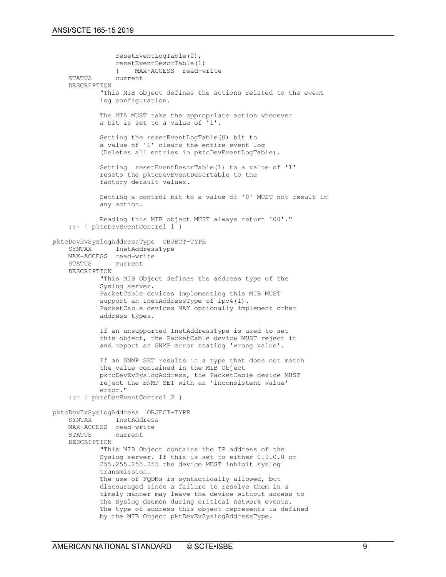```
 resetEventLogTable(0),
                 resetEventDescrTable(1)<br>} MAX-ACCESS read-w
                      MAX-ACCESS read-write
     STATUS current 
     DESCRIPTION 
              "This MIB object defines the actions related to the event 
              log configuration. 
              The MTA MUST take the appropriate action whenever 
              a bit is set to a value of '1'.
              Setting the resetEventLogTable(0) bit to
              a value of '1' clears the entire event log 
              (Deletes all entries in pktcDevEventLogTable). 
              Setting resetEventDescrTable(1) to a value of '1' 
              resets the pktcDevEventDescrTable to the
              factory default values.
              Setting a control bit to a value of '0' MUST not result in
             any action.
              Reading this MIB object MUST always return '00'."
     ::= { pktcDevEventControl 1 }
pktcDevEvSyslogAddressType OBJECT-TYPE 
               InetAddressType
    MAX-ACCESS read-write<br>STATUS current
                current
     DESCRIPTION 
              "This MIB Object defines the address type of the 
             Syslog server. 
             PacketCable devices implementing this MIB MUST 
              support an InetAddressType of ipv4(1).
             PacketCable devices MAY optionally implement other 
             address types.
              If an unsupported InetAddressType is used to set 
              this object, the PacketCable device MUST reject it 
              and report an SNMP error stating 'wrong value'.
             If an SNMP SET results in a type that does not match
              the value contained in the MIB Object 
             pktcDevEvSyslogAddress, the PacketCable device MUST
             reject the SNMP SET with an 'inconsistent value' 
             error."
     ::= { pktcDevEventControl 2 }
pktcDevEvSyslogAddress OBJECT-TYPE
               InetAddress
    MAX-ACCESS read-write<br>STATUS current
                current.
     DESCRIPTION 
              "This MIB Object contains the IP address of the 
              Syslog server. If this is set to either 0.0.0.0 or
             255.255.255.255 the device MUST inhibit syslog
             transmission.
             The use of FQDNs is syntactically allowed, but 
             discouraged since a failure to resolve them in a 
              timely manner may leave the device without access to 
              the Syslog daemon during critical network events. 
             The type of address this object represents is defined 
             by the MIB Object pktDevEvSyslogAddressType.
```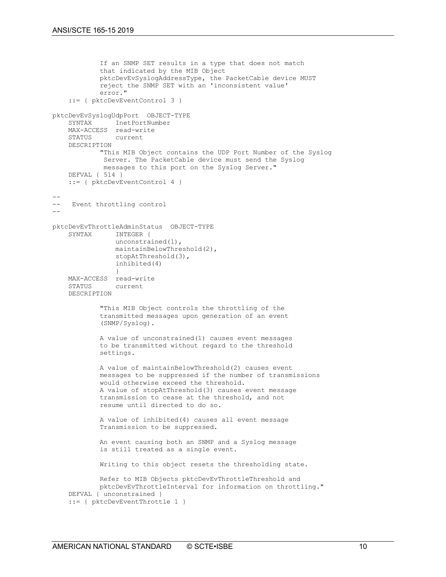```
 If an SNMP SET results in a type that does not match
             that indicated by the MIB Object 
             pktcDevEvSyslogAddressType, the PacketCable device MUST
             reject the SNMP SET with an 'inconsistent value' 
             error."
     ::= { pktcDevEventControl 3 } 
pktcDevEvSyslogUdpPort OBJECT-TYPE
               InetPortNumber
    MAX-ACCESS read-write<br>STATUS current
                current.
     DESCRIPTION
             "This MIB Object contains the UDP Port Number of the Syslog 
              Server. The PacketCable device must send the Syslog 
              messages to this port on the Syslog Server."
     DEFVAL { 514 }
     ::= { pktcDevEventControl 4 }
-- 
     Event throttling control
-- 
pktcDevEvThrottleAdminStatus OBJECT-TYPE
                INTEGER {
                 unconstrained(1),
                maintainBelowThreshold(2),
                 stopAtThreshold(3),
                inhibited(4)
 }
 MAX-ACCESS read-write
     STATUS current
     DESCRIPTION 
             "This MIB Object controls the throttling of the 
             transmitted messages upon generation of an event 
             (SNMP/Syslog).
             A value of unconstrained(1) causes event messages 
             to be transmitted without regard to the threshold 
             settings.
             A value of maintainBelowThreshold(2) causes event
             messages to be suppressed if the number of transmissions
             would otherwise exceed the threshold. 
             A value of stopAtThreshold(3) causes event message
             transmission to cease at the threshold, and not 
             resume until directed to do so.
             A value of inhibited(4) causes all event message 
             Transmission to be suppressed. 
             An event causing both an SNMP and a Syslog message
             is still treated as a single event.
             Writing to this object resets the thresholding state.
             Refer to MIB Objects pktcDevEvThrottleThreshold and 
             pktcDevEvThrottleInterval for information on throttling."
    DEFVAL { unconstrained }
     ::= { pktcDevEventThrottle 1 }
```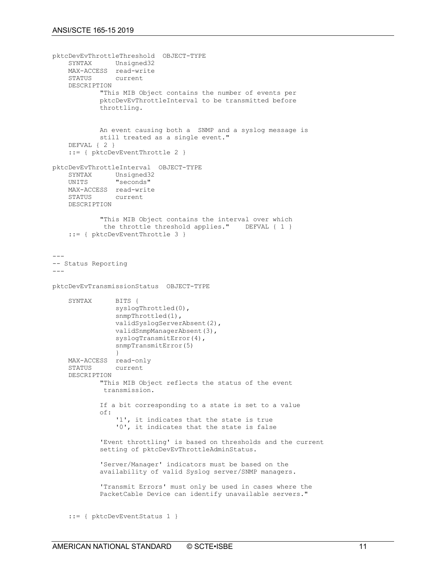#### ANSI/SCTE 165-15 2019

```
pktcDevEvThrottleThreshold OBJECT-TYPE
               Unsigned32
     MAX-ACCESS read-write
     STATUS current
     DESCRIPTION
             "This MIB Object contains the number of events per
             pktcDevEvThrottleInterval to be transmitted before
             throttling.
             An event causing both a SNMP and a syslog message is 
             still treated as a single event."
     DEFVAL { 2 } 
     ::= { pktcDevEventThrottle 2 }
pktcDevEvThrottleInterval OBJECT-TYPE
    SYNTAX Unsigned32<br>UNITS "seconds"
                "seconds"
     MAX-ACCESS read-write
                current
     DESCRIPTION 
             "This MIB Object contains the interval over which<br>the throttle threshold applies." DEFVAL \{ 1 \}the throttle threshold applies."
     ::= { pktcDevEventThrottle 3 } 
---
-- Status Reporting
---
pktcDevEvTransmissionStatus OBJECT-TYPE
     SYNTAX BITS {
                  syslogThrottled(0),
                  snmpThrottled(1),
                 validSyslogServerAbsent(2),
                  validSnmpManagerAbsent(3),
                 syslogTransmitError(4),
                  snmpTransmitError(5)
                 }
 MAX-ACCESS read-only
     STATUS current
     DESCRIPTION
              "This MIB Object reflects the status of the event 
              transmission.
             If a bit corresponding to a state is set to a value
             of:
                  '1', it indicates that the state is true
                 '0', it indicates that the state is false
              'Event throttling' is based on thresholds and the current
              setting of pktcDevEvThrottleAdminStatus.
              'Server/Manager' indicators must be based on the 
              availability of valid Syslog server/SNMP managers.
              'Transmit Errors' must only be used in cases where the 
             PacketCable Device can identify unavailable servers."
```

```
 ::= { pktcDevEventStatus 1 }
```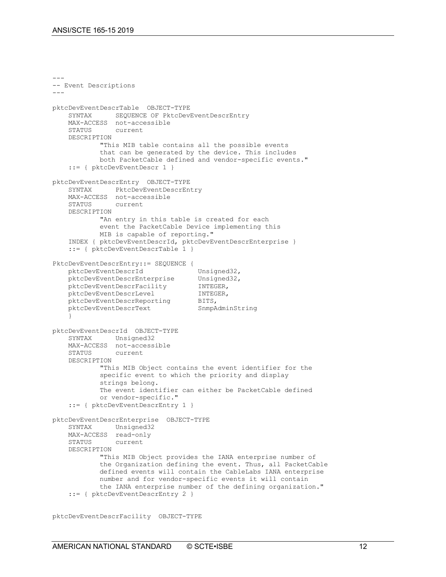```
---
-- Event Descriptions
--- 
pktcDevEventDescrTable OBJECT-TYPE
                SEQUENCE OF PktcDevEventDescrEntry
     MAX-ACCESS not-accessible
                 current
     DESCRIPTION
              "This MIB table contains all the possible events
              that can be generated by the device. This includes
              both PacketCable defined and vendor-specific events."
     ::= { pktcDevEventDescr 1 }
pktcDevEventDescrEntry OBJECT-TYPE
     SYNTAX PktcDevEventDescrEntry
    MAX-ACCESS not-accessible<br>STATUS current
                current
     DESCRIPTION
              "An entry in this table is created for each 
              event the PacketCable Device implementing this
              MIB is capable of reporting."
     INDEX { pktcDevEventDescrId, pktcDevEventDescrEnterprise }
     ::= { pktcDevEventDescrTable 1 }
PktcDevEventDescrEntry::= SEQUENCE {
     pktcDevEventDescrId Unsigned32,
    pktcDevEventDescrEnterprise Unsigned<br>22, pktcDevEventDescrFacility INTEGER,
    pktcDevEventDescrFacility INTEGER,<br>pktcDevEventDescrLevel INTEGER,
    pktcDevEventDescrLevel
    pktcDevEventDescrReporting BITS,<br>pktcDevEventDescrText SnmpAdminString
    pktcDevEventDescrText
 } 
pktcDevEventDescrId OBJECT-TYPE
              Unsigned32
    MAX-ACCESS not-accessible<br>STATUS current
                 current
     DESCRIPTION
              "This MIB Object contains the event identifier for the 
              specific event to which the priority and display
              strings belong. 
              The event identifier can either be PacketCable defined
              or vendor-specific."
     ::= { pktcDevEventDescrEntry 1 }
pktcDevEventDescrEnterprise OBJECT-TYPE
               Unsigned32
    MAX-ACCESS read-only<br>STATUS current
                 current
     DESCRIPTION 
              "This MIB Object provides the IANA enterprise number of
              the Organization defining the event. Thus, all PacketCable
              defined events will contain the CableLabs IANA enterprise
              number and for vendor-specific events it will contain
              the IANA enterprise number of the defining organization."
     ::= { pktcDevEventDescrEntry 2 }
```
pktcDevEventDescrFacility OBJECT-TYPE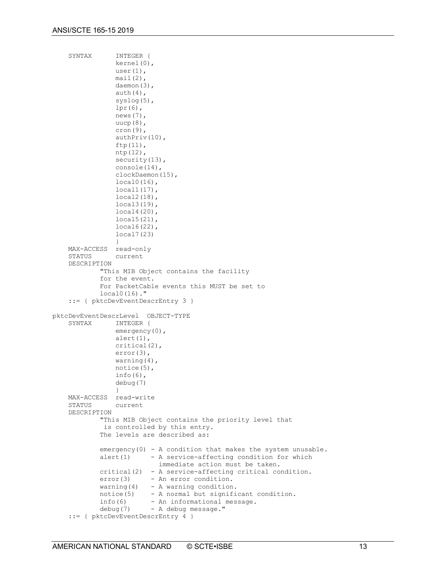```
SYNTAX INTEGER {
                    kernel(0), 
                    user(1), 
                   mail(2),
                   daemon(3),
                   auth(4),
                    syslog(5), 
                   lpr(6),
                    news(7), 
                   uucp(8), 
                    cron(9), 
                   authPriv(10),
                    ftp(11),
                   ntp(12),
                    security(13),
                   console(14), 
                    clockDaemon(15),
                   local0(16),
                   local1(17),
                   local2(18),
                    local3(19),
                   local4(20),
                    local5(21),
                   local6(22),
                    local7(23) 
                    }
 MAX-ACCESS read-only
      STATUS current
      DESCRIPTION
               "This MIB Object contains the facility 
                for the event. 
               For PacketCable events this MUST be set to
               local0(16)."
      ::= { pktcDevEventDescrEntry 3 }
pktcDevEventDescrLevel OBJECT-TYPE
                   INTEGER {
                   emergency(0),
                   alert(1),
                    critical(2), 
                   error(3), 
                    warning(4), 
                   notice(5),
                   info(6),
                   debug(7) 
 } 
 MAX-ACCESS read-write
      STATUS current
      DESCRIPTION
                "This MIB Object contains the priority level that 
                is controlled by this entry. 
               The levels are described as:
              emergency(0) - A condition that makes the system unusable.<br>alert(1) - A service-affecting condition for which
                              - A service-affecting condition for which
                                 immediate action must be taken.
              critical(2) - A service-affecting critical condition.<br>error(3) - An error condition.
              error(3) - An error condition.<br>warning(4) - A warning condition
              warning(4) - A warning condition.<br>notice(5) - A normal but signifi
              notice(5) - A normal but significant condition.<br>info(6) - An informational message.
              info(6) - An informational message.<br>debug(7) - A debug message."
                              - A debug message."
      ::= { pktcDevEventDescrEntry 4 }
```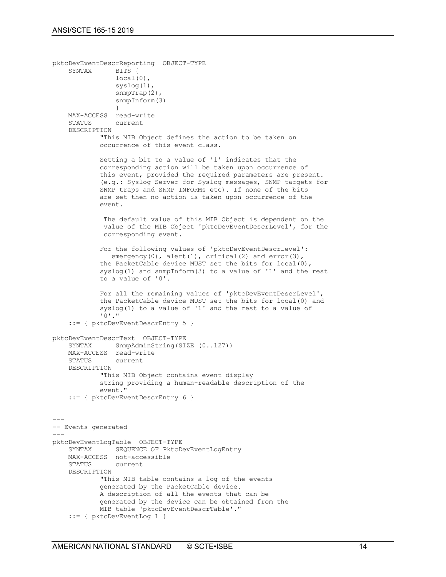```
pktcDevEventDescrReporting OBJECT-TYPE
    SYNTAX
                local(0),
                 syslog(1),
                snmpTrap(2),
                 snmpInform(3)
                 }
     MAX-ACCESS read-write
                current
     DESCRIPTION
             "This MIB Object defines the action to be taken on 
             occurrence of this event class. 
             Setting a bit to a value of '1' indicates that the
             corresponding action will be taken upon occurrence of
             this event, provided the required parameters are present.
             (e.g.: Syslog Server for Syslog messages, SNMP targets for
             SNMP traps and SNMP INFORMs etc). If none of the bits 
             are set then no action is taken upon occurrence of the
             event.
              The default value of this MIB Object is dependent on the 
              value of the MIB Object 'pktcDevEventDescrLevel', for the
              corresponding event.
             For the following values of 'pktcDevEventDescrLevel':
               emergency(0), alert(1), critical(2) and error(3),
             the PacketCable device MUST set the bits for local(0), 
             syslog(1) and snmpInform(3) to a value of '1' and the rest 
             to a value of '0'.
             For all the remaining values of 'pktcDevEventDescrLevel', 
             the PacketCable device MUST set the bits for local(0) and 
             syslog(1) to a value of '1' and the rest to a value of 
             '0'."
     ::= { pktcDevEventDescrEntry 5 }
pktcDevEventDescrText OBJECT-TYPE
              SnmpAdminString(SIZE (0..127))
    MAX-ACCESS read-write<br>STATUS current
                current.
     DESCRIPTION
             "This MIB Object contains event display 
             string providing a human-readable description of the 
             event."
     ::= { pktcDevEventDescrEntry 6 }
---
-- Events generated
---
pktcDevEventLogTable OBJECT-TYPE
     SYNTAX SEQUENCE OF PktcDevEventLogEntry
   MAX-ACCESS not-accessible<br>STATUS current
   STATUS
     DESCRIPTION 
             "This MIB table contains a log of the events 
             generated by the PacketCable device.
             A description of all the events that can be 
             generated by the device can be obtained from the
             MIB table 'pktcDevEventDescrTable'."
     ::= { pktcDevEventLog 1 }
```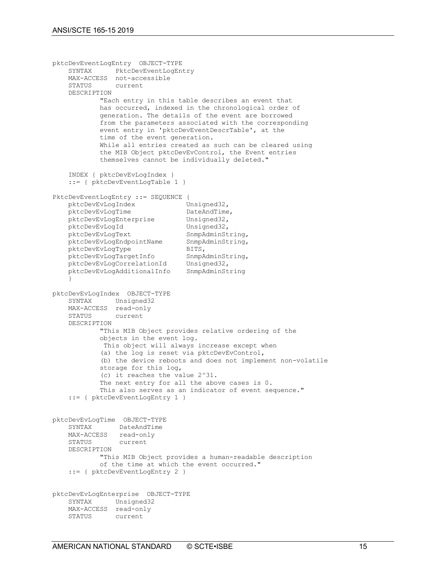```
pktcDevEventLogEntry OBJECT-TYPE
                PktcDevEventLogEntry
     MAX-ACCESS not-accessible
                 current
     DESCRIPTION
               "Each entry in this table describes an event that
               has occurred, indexed in the chronological order of 
               generation. The details of the event are borrowed
               from the parameters associated with the corresponding
               event entry in 'pktcDevEventDescrTable', at the
               time of the event generation.
               While all entries created as such can be cleared using 
               the MIB Object pktcDevEvControl, the Event entries 
               themselves cannot be individually deleted."
     INDEX { pktcDevEvLogIndex }
     ::= { pktcDevEventLogTable 1 }
PktcDevEventLogEntry ::= SEQUENCE {<br>pktcDevEvLogIndex Unsigned32,
    pktcDevEvLogIndex Unsigned32,<br>
pktcDevEvLogTime DateAndTime,
    pktcDevEvLogTime DateAndTime<br>
pktcDevEvLogEnterprise Unsigned32,
    pktcDevEvLogEnterprise Unsigned32,<br>pktcDevEvLogId Unsigned32,
    pktcDevEvLogId<br>pktcDevEvLogText
                                       SnmpAdminString,<br>SnmpAdminString,
    pktcDevEvLogEndpointName SnmpA<br>pktcDevEvLogType BITS,
    pktcDevEvLogType BITS,<br>
pktcDevEvLogTargetInfo SnmpAdminString,
    pktcDevEvLogTargetInfo
    pktcDevEvLogCorrelationId Unsigned32,<br>
pktcDevEvLogAdditionalInfo SnmpAdminString
    pktcDevEvLogAdditionalInfo<br>}
 }
pktcDevEvLogIndex OBJECT-TYPE
     SYNTAX Unsigned32
    MAX-ACCESS read-only<br>STATUS current
                  current
     DESCRIPTION
               "This MIB Object provides relative ordering of the 
               objects in the event log. 
                This object will always increase except when 
               (a) the log is reset via pktcDevEvControl, 
               (b) the device reboots and does not implement non-volatile
               storage for this log, 
               (c) it reaches the value 2^31.
              The next entry for all the above cases is 0.
               This also serves as an indicator of event sequence."
     ::= { pktcDevEventLogEntry 1 }
pktcDevEvLogTime OBJECT-TYPE
    SYNTAX DateAndTime<br>MAX-ACCESS read-only
    MAX-ACCESS read-only<br>STATUS current
                   current
     DESCRIPTION
               "This MIB Object provides a human-readable description 
               of the time at which the event occurred."
     ::= { pktcDevEventLogEntry 2 }
pktcDevEvLogEnterprise OBJECT-TYPE
     SYNTAX Unsigned32
     MAX-ACCESS read-only
     STATUS current
```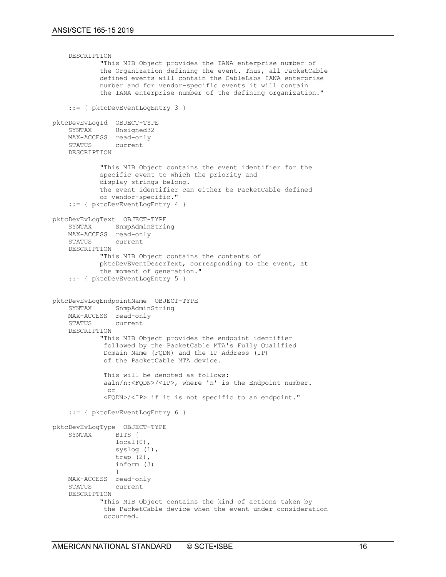```
 DESCRIPTION
             "This MIB Object provides the IANA enterprise number of
             the Organization defining the event. Thus, all PacketCable
             defined events will contain the CableLabs IANA enterprise
             number and for vendor-specific events it will contain
             the IANA enterprise number of the defining organization."
     ::= { pktcDevEventLogEntry 3 }
pktcDevEvLogId OBJECT-TYPE
                Unsigned32
    MAX-ACCESS read-only<br>STATUS current
                current
     DESCRIPTION
             "This MIB Object contains the event identifier for the 
             specific event to which the priority and 
             display strings belong. 
             The event identifier can either be PacketCable defined
             or vendor-specific."
     ::= { pktcDevEventLogEntry 4 }
pktcDevEvLogText OBJECT-TYPE
                SnmpAdminString
    MAX-ACCESS read-only<br>STATUS current
                current
     DESCRIPTION
             "This MIB Object contains the contents of 
             pktcDevEventDescrText, corresponding to the event, at 
             the moment of generation."
     ::= { pktcDevEventLogEntry 5 }
pktcDevEvLogEndpointName OBJECT-TYPE
               SnmpAdminString
    MAX-ACCESS read-only<br>STATUS current
                current
     DESCRIPTION
             "This MIB Object provides the endpoint identifier 
              followed by the PacketCable MTA's Fully Qualified 
              Domain Name (FQDN) and the IP Address (IP) 
              of the PacketCable MTA device. 
              This will be denoted as follows:
              aaln/n:<FQDN>/<IP>, where 'n' is the Endpoint number. 
 or
              <FQDN>/<IP> if it is not specific to an endpoint."
     ::= { pktcDevEventLogEntry 6 }
pktcDevEvLogType OBJECT-TYPE
                BITS {
                 local(0),
                syslog (1),
                 trap (2),
                inform (3)
 }
 MAX-ACCESS read-only
     STATUS current
     DESCRIPTION
             "This MIB Object contains the kind of actions taken by 
              the PacketCable device when the event under consideration
              occurred.
```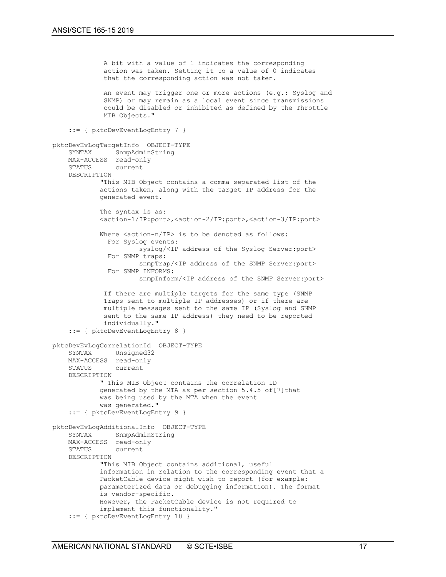```
 A bit with a value of 1 indicates the corresponding
              action was taken. Setting it to a value of 0 indicates 
              that the corresponding action was not taken.
              An event may trigger one or more actions (e.g.: Syslog and
              SNMP) or may remain as a local event since transmissions
              could be disabled or inhibited as defined by the Throttle 
              MIB Objects."
     ::= { pktcDevEventLogEntry 7 }
pktcDevEvLogTargetInfo OBJECT-TYPE
                SnmpAdminString
    MAX-ACCESS read-only<br>STATUS current
                current
     DESCRIPTION
             "This MIB Object contains a comma separated list of the 
             actions taken, along with the target IP address for the 
             generated event. 
             The syntax is as:
             <action-1/IP:port>,<action-2/IP:port>,<action-3/IP:port>
            Where <action-n/IP> is to be denoted as follows:
                For Syslog events:
                        syslog/<IP address of the Syslog Server:port>
                For SNMP traps:
                       snmpTrap/<IP address of the SNMP Server:port>
                For SNMP INFORMS:
                        snmpInform/<IP address of the SNMP Server:port>
              If there are multiple targets for the same type (SNMP 
              Traps sent to multiple IP addresses) or if there are 
              multiple messages sent to the same IP (Syslog and SNMP 
               sent to the same IP address) they need to be reported
               individually."
     ::= { pktcDevEventLogEntry 8 }
pktcDevEvLogCorrelationId OBJECT-TYPE
              Unsigned32
    MAX-ACCESS read-only<br>STATUS current
                current
     DESCRIPTION 
             " This MIB Object contains the correlation ID 
            generated by the MTA as per section 5.4.5 of [7] that
             was being used by the MTA when the event 
             was generated."
    ::= { pktcDevEventLogEntry 9 }
pktcDevEvLogAdditionalInfo OBJECT-TYPE
                SnmpAdminString
    MAX-ACCESS read-only<br>STATUS current
                current.
     DESCRIPTION
              "This MIB Object contains additional, useful 
             information in relation to the corresponding event that a
             PacketCable device might wish to report (for example: 
             parameterized data or debugging information). The format
             is vendor-specific.
             However, the PacketCable device is not required to 
             implement this functionality."
     ::= { pktcDevEventLogEntry 10 }
```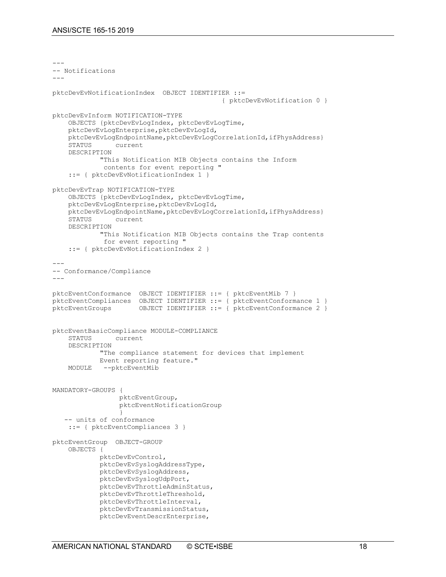```
---
-- Notifications
---
pktcDevEvNotificationIndex OBJECT IDENTIFIER ::= 
                                             { pktcDevEvNotification 0 }
pktcDevEvInform NOTIFICATION-TYPE
     OBJECTS {pktcDevEvLogIndex, pktcDevEvLogTime,
     pktcDevEvLogEnterprise,pktcDevEvLogId,
    pktcDevEvLogEndpointName,pktcDevEvLogCorrelationId,ifPhysAddress}<br>STATUS current
                current
     DESCRIPTION
             "This Notification MIB Objects contains the Inform 
              contents for event reporting "
     ::= { pktcDevEvNotificationIndex 1 }
pktcDevEvTrap NOTIFICATION-TYPE
     OBJECTS {pktcDevEvLogIndex, pktcDevEvLogTime,
     pktcDevEvLogEnterprise,pktcDevEvLogId,
    pktcDevEvLogEndpointName,pktcDevEvLogCorrelationId,ifPhysAddress}<br>STATUS current
                current
     DESCRIPTION
              "This Notification MIB Objects contains the Trap contents 
              for event reporting "
     ::= { pktcDevEvNotificationIndex 2 }
---
-- Conformance/Compliance
---pktcEventConformance OBJECT IDENTIFIER ::= { pktcEventMib 7 }
pktcEventCompliances OBJECT IDENTIFIER ::= { pktcEventConformance 1 }
pktcEventGroups OBJECT IDENTIFIER ::= { pktcEventConformance 2 }
pktcEventBasicCompliance MODULE-COMPLIANCE
                current
     DESCRIPTION
             "The compliance statement for devices that implement
    Event reporting feature."<br>MODULE -- pktcEventMib
            --pktcEventMib
MANDATORY-GROUPS {
                   pktcEventGroup,
                  pktcEventNotificationGroup
 }
 -- units of conformance
     ::= { pktcEventCompliances 3 }
pktcEventGroup OBJECT-GROUP
     OBJECTS {
             pktcDevEvControl,
             pktcDevEvSyslogAddressType,
             pktcDevEvSyslogAddress,
             pktcDevEvSyslogUdpPort,
             pktcDevEvThrottleAdminStatus,
             pktcDevEvThrottleThreshold,
             pktcDevEvThrottleInterval,
             pktcDevEvTransmissionStatus,
             pktcDevEventDescrEnterprise,
```